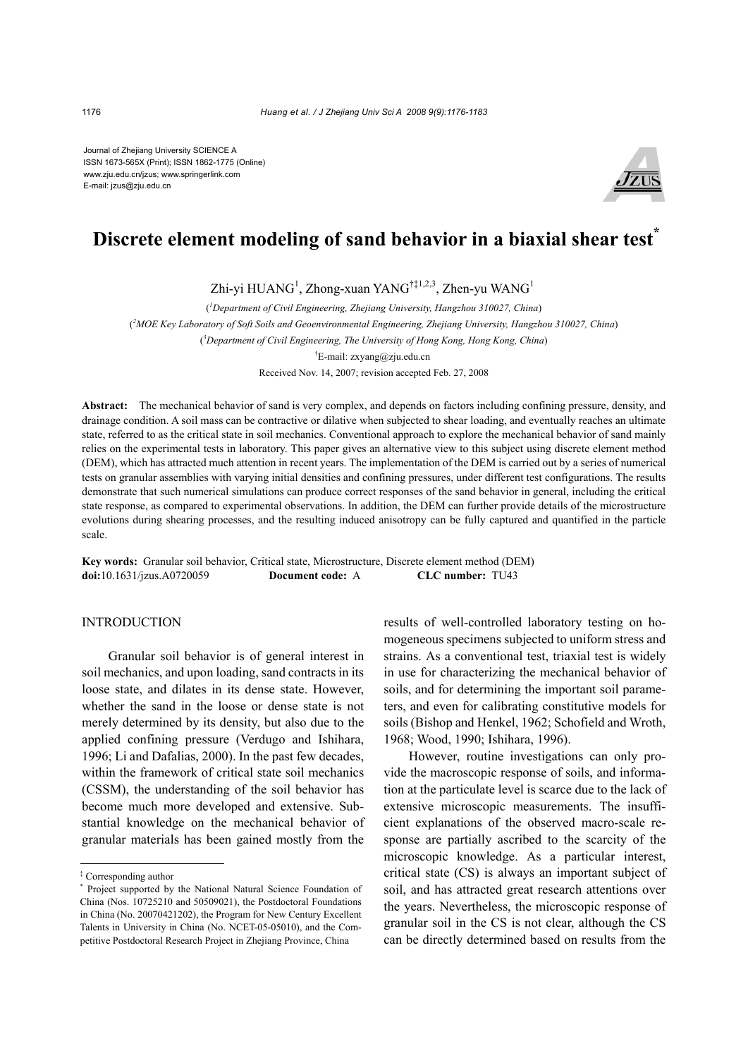Journal of Zhejiang University SCIENCE A ISSN 1673-565X (Print); ISSN 1862-1775 (Online) www.zju.edu.cn/jzus; www.springerlink.com E-mail: jzus@zju.edu.cn



# **Discrete element modeling of sand behavior in a biaxial shear test<sup>\*</sup>**

Zhi-yi HUANG<sup>1</sup>, Zhong-xuan YANG<sup>†‡1,2,3</sup>, Zhen-yu WANG<sup>1</sup>

( *1 Department of Civil Engineering, Zhejiang University, Hangzhou 310027, China*) ( *2 MOE Key Laboratory of Soft Soils and Geoenvironmental Engineering, Zhejiang University, Hangzhou 310027, China*) ( *3 Department of Civil Engineering, The University of Hong Kong, Hong Kong, China*) † E-mail: zxyang@zju.edu.cn Received Nov. 14, 2007; revision accepted Feb. 27, 2008

**Abstract:** The mechanical behavior of sand is very complex, and depends on factors including confining pressure, density, and drainage condition. A soil mass can be contractive or dilative when subjected to shear loading, and eventually reaches an ultimate state, referred to as the critical state in soil mechanics. Conventional approach to explore the mechanical behavior of sand mainly relies on the experimental tests in laboratory. This paper gives an alternative view to this subject using discrete element method (DEM), which has attracted much attention in recent years. The implementation of the DEM is carried out by a series of numerical tests on granular assemblies with varying initial densities and confining pressures, under different test configurations. The results demonstrate that such numerical simulations can produce correct responses of the sand behavior in general, including the critical state response, as compared to experimental observations. In addition, the DEM can further provide details of the microstructure evolutions during shearing processes, and the resulting induced anisotropy can be fully captured and quantified in the particle scale.

**Key words:** Granular soil behavior, Critical state, Microstructure, Discrete element method (DEM) **doi:**10.1631/jzus.A0720059 **Document code:** A **CLC number:** TU43

#### **INTRODUCTION**

Granular soil behavior is of general interest in soil mechanics, and upon loading, sand contracts in its loose state, and dilates in its dense state. However, whether the sand in the loose or dense state is not merely determined by its density, but also due to the applied confining pressure (Verdugo and Ishihara, 1996; Li and Dafalias, 2000). In the past few decades, within the framework of critical state soil mechanics (CSSM), the understanding of the soil behavior has become much more developed and extensive. Substantial knowledge on the mechanical behavior of granular materials has been gained mostly from the

results of well-controlled laboratory testing on homogeneous specimens subjected to uniform stress and strains. As a conventional test, triaxial test is widely in use for characterizing the mechanical behavior of soils, and for determining the important soil parameters, and even for calibrating constitutive models for soils (Bishop and Henkel, 1962; Schofield and Wroth, 1968; Wood, 1990; Ishihara, 1996).

However, routine investigations can only provide the macroscopic response of soils, and information at the particulate level is scarce due to the lack of extensive microscopic measurements. The insufficient explanations of the observed macro-scale response are partially ascribed to the scarcity of the microscopic knowledge. As a particular interest, critical state (CS) is always an important subject of soil, and has attracted great research attentions over the years. Nevertheless, the microscopic response of granular soil in the CS is not clear, although the CS can be directly determined based on results from the

<sup>‡</sup> Corresponding author

<sup>\*</sup> Project supported by the National Natural Science Foundation of China (Nos. 10725210 and 50509021), the Postdoctoral Foundations in China (No. 20070421202), the Program for New Century Excellent Talents in University in China (No. NCET-05-05010), and the Competitive Postdoctoral Research Project in Zhejiang Province, China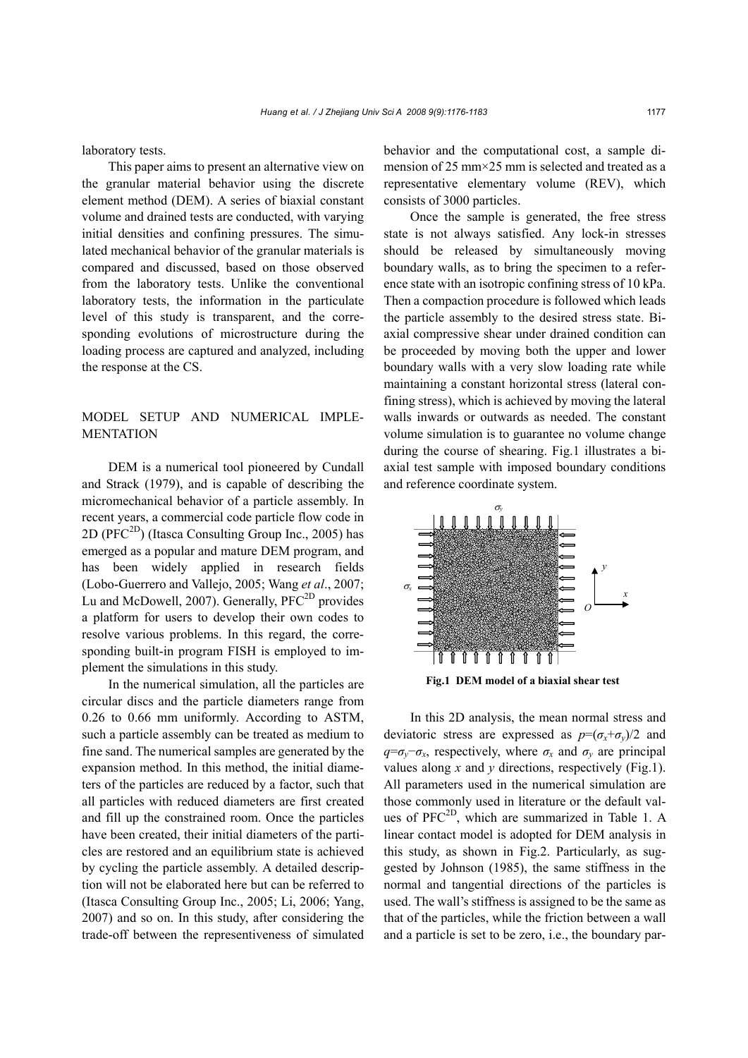laboratory tests.

This paper aims to present an alternative view on the granular material behavior using the discrete element method (DEM). A series of biaxial constant volume and drained tests are conducted, with varying initial densities and confining pressures. The simulated mechanical behavior of the granular materials is compared and discussed, based on those observed from the laboratory tests. Unlike the conventional laboratory tests, the information in the particulate level of this study is transparent, and the corresponding evolutions of microstructure during the loading process are captured and analyzed, including the response at the CS.

### MODEL SETUP AND NUMERICAL IMPLE-**MENTATION**

DEM is a numerical tool pioneered by Cundall and Strack (1979), and is capable of describing the micromechanical behavior of a particle assembly. In recent years, a commercial code particle flow code in 2D ( $PFC^{2D}$ ) (Itasca Consulting Group Inc., 2005) has emerged as a popular and mature DEM program, and has been widely applied in research fields (Lobo-Guerrero and Vallejo, 2005; Wang *et al*., 2007; Lu and McDowell, 2007). Generally,  $PFC^{2D}$  provides a platform for users to develop their own codes to resolve various problems. In this regard, the corresponding built-in program FISH is employed to implement the simulations in this study.

In the numerical simulation, all the particles are circular discs and the particle diameters range from 0.26 to 0.66 mm uniformly. According to ASTM, such a particle assembly can be treated as medium to fine sand. The numerical samples are generated by the expansion method. In this method, the initial diameters of the particles are reduced by a factor, such that all particles with reduced diameters are first created and fill up the constrained room. Once the particles have been created, their initial diameters of the particles are restored and an equilibrium state is achieved by cycling the particle assembly. A detailed description will not be elaborated here but can be referred to (Itasca Consulting Group Inc., 2005; Li, 2006; Yang, 2007) and so on. In this study, after considering the trade-off between the representiveness of simulated

behavior and the computational cost, a sample dimension of 25 mm×25 mm is selected and treated as a representative elementary volume (REV), which consists of 3000 particles.

Once the sample is generated, the free stress state is not always satisfied. Any lock-in stresses should be released by simultaneously moving boundary walls, as to bring the specimen to a reference state with an isotropic confining stress of 10 kPa. Then a compaction procedure is followed which leads the particle assembly to the desired stress state. Biaxial compressive shear under drained condition can be proceeded by moving both the upper and lower boundary walls with a very slow loading rate while maintaining a constant horizontal stress (lateral confining stress), which is achieved by moving the lateral walls inwards or outwards as needed. The constant volume simulation is to guarantee no volume change during the course of shearing. Fig.1 illustrates a biaxial test sample with imposed boundary conditions and reference coordinate system.



**Fig.1 DEM model of a biaxial shear test** 

In this 2D analysis, the mean normal stress and deviatoric stress are expressed as  $p=(\sigma_x+\sigma_y)/2$  and  $q = \sigma_v - \sigma_x$ , respectively, where  $\sigma_x$  and  $\sigma_y$  are principal values along *x* and *y* directions, respectively (Fig.1). All parameters used in the numerical simulation are those commonly used in literature or the default values of PFC<sup>2D</sup>, which are summarized in Table 1. A linear contact model is adopted for DEM analysis in this study, as shown in Fig.2. Particularly, as suggested by Johnson (1985), the same stiffness in the normal and tangential directions of the particles is used. The wall's stiffness is assigned to be the same as that of the particles, while the friction between a wall and a particle is set to be zero, i.e., the boundary par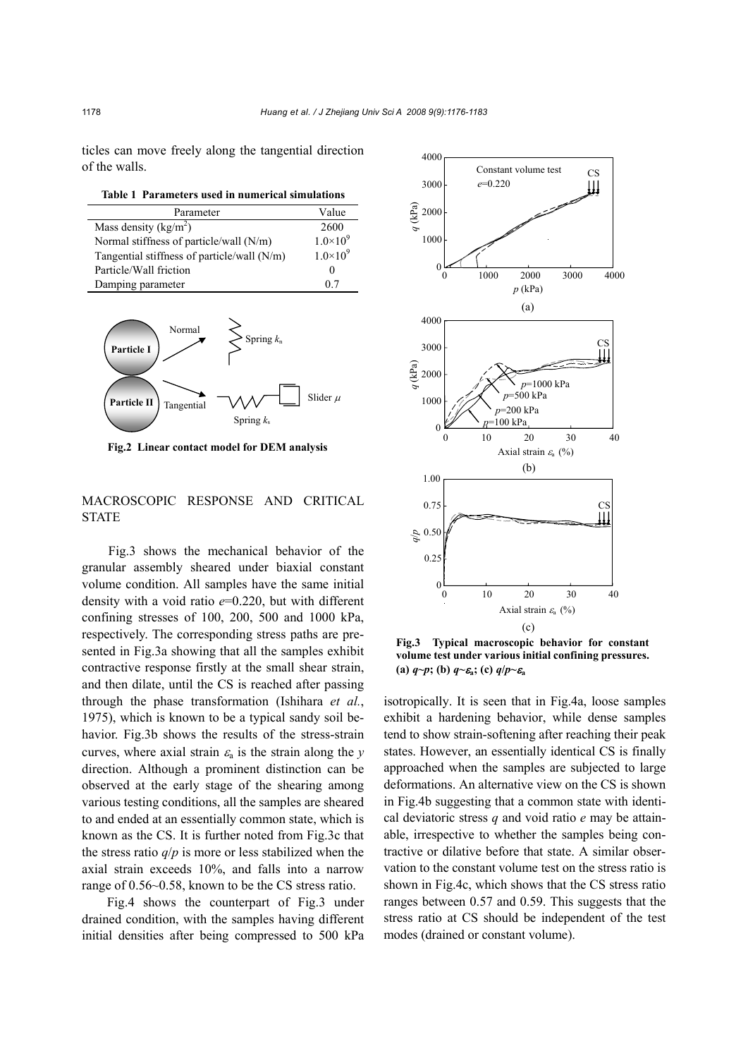ticles can move freely along the tangential direction of the walls.

| Table 1 Parameters used in numerical simulations |  |  |
|--------------------------------------------------|--|--|
|                                                  |  |  |

| Parameter                                   | Value               |
|---------------------------------------------|---------------------|
| Mass density ( $kg/m2$ )                    | 2600                |
| Normal stiffness of particle/wall $(N/m)$   | $1.0 \times 10^{9}$ |
| Tangential stiffness of particle/wall (N/m) | $1.0 \times 10^{9}$ |
| Particle/Wall friction                      | $\theta$            |
| Damping parameter                           | 07                  |



**Fig.2 Linear contact model for DEM analysis**

# MACROSCOPIC RESPONSE AND CRITICAL **STATE**

Fig.3 shows the mechanical behavior of the granular assembly sheared under biaxial constant volume condition. All samples have the same initial density with a void ratio *e*=0.220, but with different confining stresses of 100, 200, 500 and 1000 kPa, respectively. The corresponding stress paths are presented in Fig.3a showing that all the samples exhibit contractive response firstly at the small shear strain, and then dilate, until the CS is reached after passing through the phase transformation (Ishihara *et al.*, 1975), which is known to be a typical sandy soil behavior. Fig.3b shows the results of the stress-strain curves, where axial strain  $\varepsilon_a$  is the strain along the *y* direction. Although a prominent distinction can be observed at the early stage of the shearing among various testing conditions, all the samples are sheared to and ended at an essentially common state, which is known as the CS. It is further noted from Fig.3c that the stress ratio  $q/p$  is more or less stabilized when the axial strain exceeds 10%, and falls into a narrow range of 0.56~0.58, known to be the CS stress ratio.

Fig.4 shows the counterpart of Fig.3 under drained condition, with the samples having different initial densities after being compressed to 500 kPa



**Fig.3 Typical macroscopic behavior for constant volume test under various initial confining pressures. (a)**  $q \sim p$ ; **(b)**  $q \sim \varepsilon_a$ ; **(c)**  $q/p \sim \varepsilon_a$ 

isotropically. It is seen that in Fig.4a, loose samples exhibit a hardening behavior, while dense samples tend to show strain-softening after reaching their peak states. However, an essentially identical CS is finally approached when the samples are subjected to large deformations. An alternative view on the CS is shown in Fig.4b suggesting that a common state with identical deviatoric stress *q* and void ratio *e* may be attainable, irrespective to whether the samples being contractive or dilative before that state. A similar observation to the constant volume test on the stress ratio is shown in Fig.4c, which shows that the CS stress ratio ranges between 0.57 and 0.59. This suggests that the stress ratio at CS should be independent of the test modes (drained or constant volume).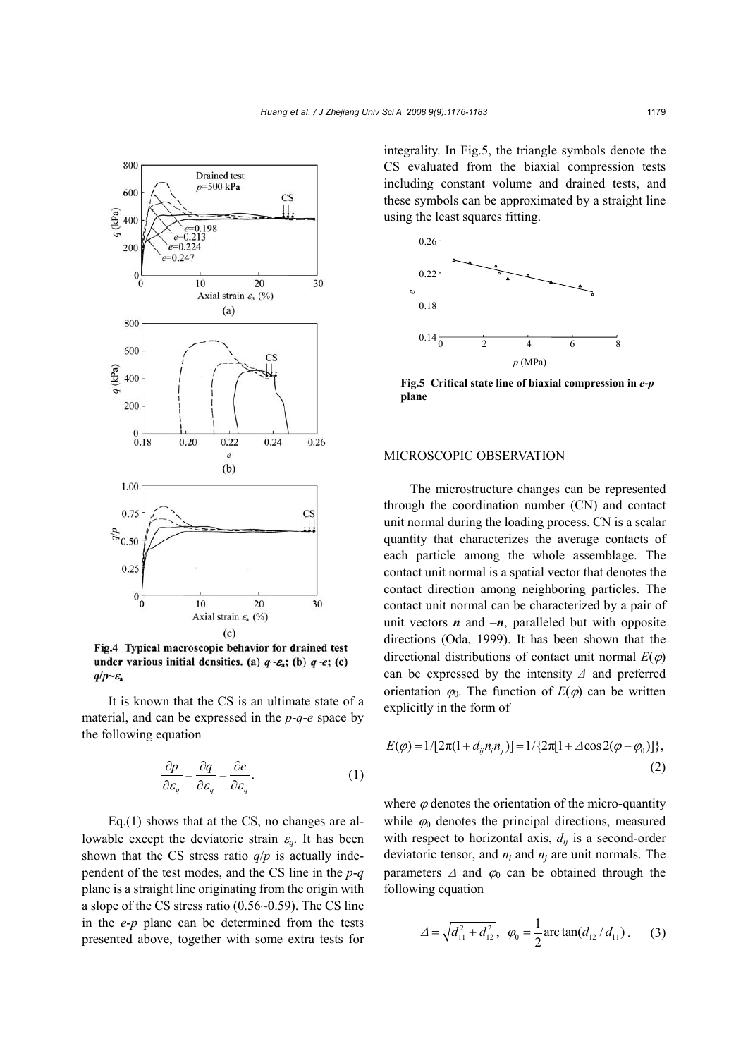

Fig.4 Typical macroscopic behavior for drained test under various initial densities. (a)  $q \sim \varepsilon_a$ ; (b)  $q \sim e$ ; (c)  $q/p \sim \varepsilon_a$ 

It is known that the CS is an ultimate state of a material, and can be expressed in the *p*-*q*-*e* space by the following equation

$$
\frac{\partial p}{\partial \varepsilon_q} = \frac{\partial q}{\partial \varepsilon_q} = \frac{\partial e}{\partial \varepsilon_q}.
$$
 (1)

Eq.(1) shows that at the CS, no changes are allowable except the deviatoric strain  $\varepsilon_q$ . It has been shown that the CS stress ratio  $q/p$  is actually independent of the test modes, and the CS line in the *p*-*q* plane is a straight line originating from the origin with a slope of the CS stress ratio (0.56~0.59). The CS line in the *e*-*p* plane can be determined from the tests presented above, together with some extra tests for integrality. In Fig.5, the triangle symbols denote the CS evaluated from the biaxial compression tests including constant volume and drained tests, and these symbols can be approximated by a straight line using the least squares fitting.



**Fig.5 Critical state line of biaxial compression in** *e***-***p* **plane** 

#### MICROSCOPIC OBSERVATION

The microstructure changes can be represented through the coordination number (CN) and contact unit normal during the loading process. CN is a scalar quantity that characterizes the average contacts of each particle among the whole assemblage. The contact unit normal is a spatial vector that denotes the contact direction among neighboring particles. The contact unit normal can be characterized by a pair of unit vectors  $\boldsymbol{n}$  and  $-\boldsymbol{n}$ , paralleled but with opposite directions (Oda, 1999). It has been shown that the directional distributions of contact unit normal  $E(\varphi)$ can be expressed by the intensity *Δ* and preferred orientation  $\varphi_0$ . The function of  $E(\varphi)$  can be written explicitly in the form of

$$
E(\varphi) = 1/[2\pi(1 + d_{ij}n_i n_j)] = 1/{2\pi[1 + \Delta\cos 2(\varphi - \varphi_0)]},
$$
\n(2)

where  $\varphi$  denotes the orientation of the micro-quantity while  $\varphi_0$  denotes the principal directions, measured with respect to horizontal axis,  $d_{ij}$  is a second-order deviatoric tensor, and  $n_i$  and  $n_j$  are unit normals. The parameters  $\Delta$  and  $\varphi_0$  can be obtained through the following equation

$$
\Delta = \sqrt{d_{11}^2 + d_{12}^2}, \ \ \varphi_0 = \frac{1}{2} \arctan(d_{12}/d_{11}). \tag{3}
$$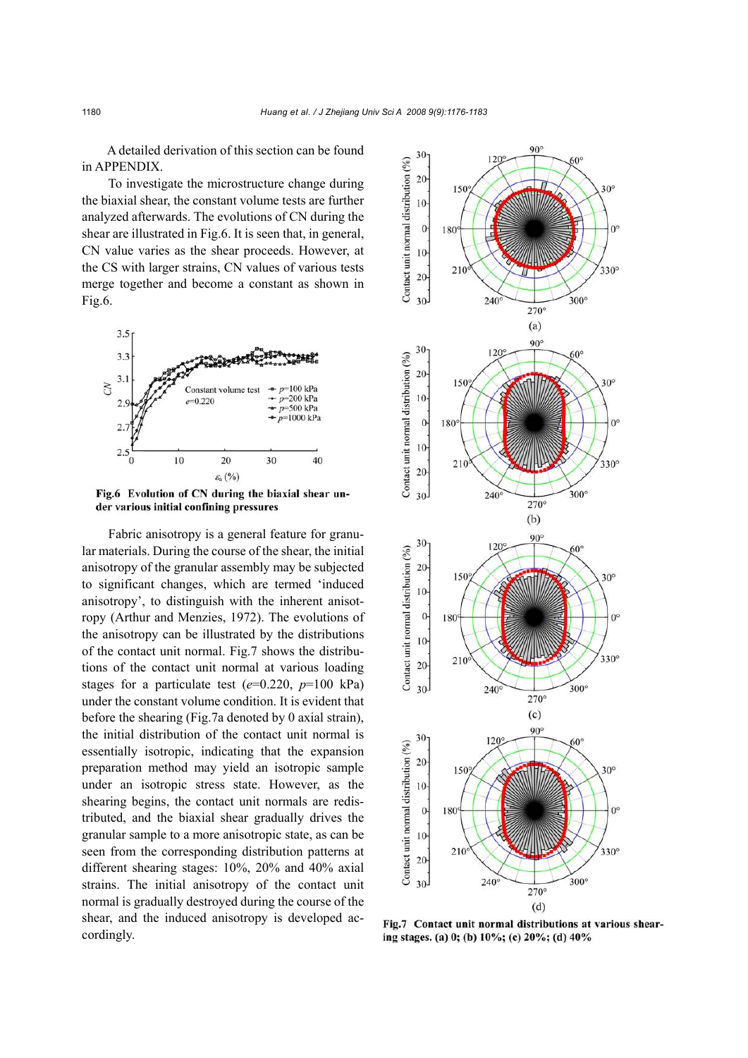A detailed derivation of this section can be found in APPENDIX.

To investigate the microstructure change during the biaxial shear, the constant volume tests are further analyzed afterwards. The evolutions of CN during the shear are illustrated in Fig.6. It is seen that, in general, CN value varies as the shear proceeds. However, at the CS with larger strains, CN values of various tests merge together and become a constant as shown in Fig.6.



Fig.6 Evolution of CN during the biaxial shear under various initial confining pressures

Fabric anisotropy is a general feature for granular materials. During the course of the shear, the initial anisotropy of the granular assembly may be subjected to significant changes, which are termed 'induced anisotropy', to distinguish with the inherent anisotropy (Arthur and Menzies, 1972). The evolutions of the anisotropy can be illustrated by the distributions of the contact unit normal. Fig.7 shows the distributions of the contact unit normal at various loading stages for a particulate test  $(e=0.220, p=100 \text{ kPa})$ under the constant volume condition. It is evident that before the shearing (Fig.7a denoted by 0 axial strain), the initial distribution of the contact unit normal is essentially isotropic, indicating that the expansion preparation method may yield an isotropic sample under an isotropic stress state. However, as the shearing begins, the contact unit normals are redistributed, and the biaxial shear gradually drives the granular sample to a more anisotropic state, as can be seen from the corresponding distribution patterns at different shearing stages: 10%, 20% and 40% axial strains. The initial anisotropy of the contact unit normal is gradually destroyed during the course of the shear, and the induced anisotropy is developed accordingly.



Fig.7 Contact unit normal distributions at various shearing stages. (a) 0; (b) 10%; (c) 20%; (d) 40%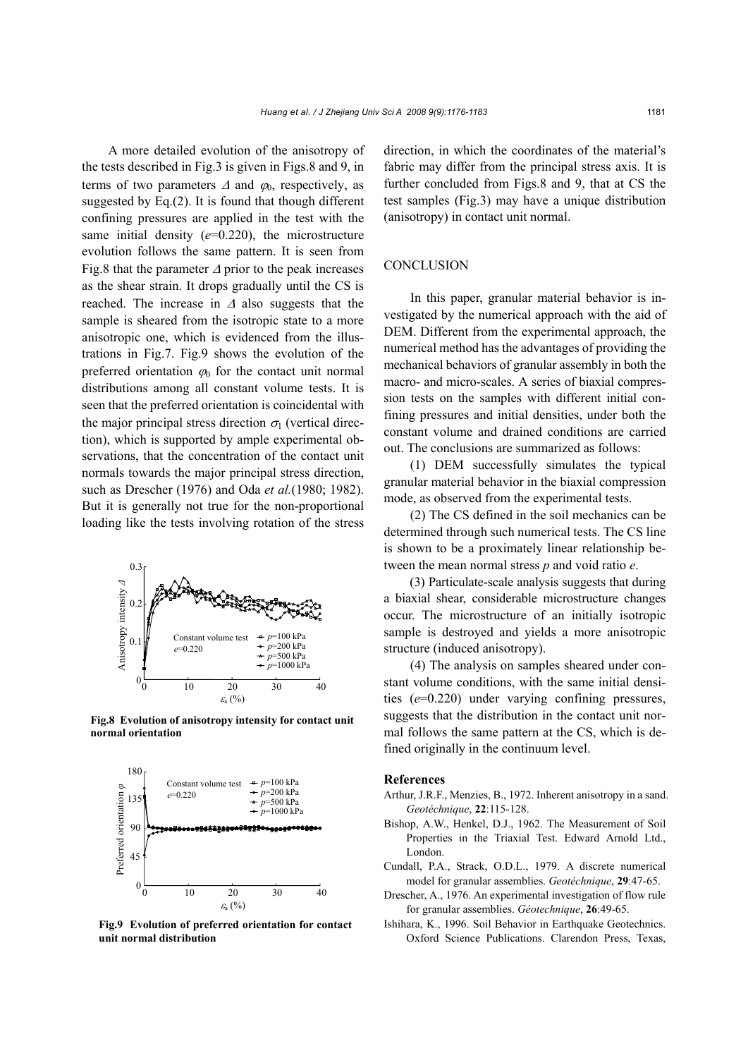A more detailed evolution of the anisotropy of the tests described in Fig.3 is given in Figs.8 and 9, in terms of two parameters  $\Delta$  and  $\varphi_0$ , respectively, as suggested by Eq.(2). It is found that though different confining pressures are applied in the test with the same initial density (*e*=0.220), the microstructure evolution follows the same pattern. It is seen from Fig.8 that the parameter  $\Delta$  prior to the peak increases as the shear strain. It drops gradually until the CS is reached. The increase in  $\Delta$  also suggests that the sample is sheared from the isotropic state to a more anisotropic one, which is evidenced from the illustrations in Fig.7. Fig.9 shows the evolution of the preferred orientation  $\varphi_0$  for the contact unit normal distributions among all constant volume tests. It is seen that the preferred orientation is coincidental with the major principal stress direction  $\sigma_1$  (vertical direction), which is supported by ample experimental observations, that the concentration of the contact unit normals towards the major principal stress direction, such as Drescher (1976) and Oda *et al.*(1980; 1982). But it is generally not true for the non-proportional loading like the tests involving rotation of the stress



**Fig.8 Evolution of anisotropy intensity for contact unit**



**Fig.9 Evolution of preferred orientation for contact**

direction, in which the coordinates of the material's fabric may differ from the principal stress axis. It is further concluded from Figs.8 and 9, that at CS the test samples (Fig.3) may have a unique distribution (anisotropy) in contact unit normal.

# **CONCLUSION**

In this paper, granular material behavior is investigated by the numerical approach with the aid of DEM. Different from the experimental approach, the numerical method has the advantages of providing the mechanical behaviors of granular assembly in both the macro- and micro-scales. A series of biaxial compression tests on the samples with different initial confining pressures and initial densities, under both the constant volume and drained conditions are carried out. The conclusions are summarized as follows:

(1) DEM successfully simulates the typical granular material behavior in the biaxial compression mode, as observed from the experimental tests.

(2) The CS defined in the soil mechanics can be determined through such numerical tests. The CS line is shown to be a proximately linear relationship between the mean normal stress *p* and void ratio *e*.

(3) Particulate-scale analysis suggests that during a biaxial shear, considerable microstructure changes occur. The microstructure of an initially isotropic sample is destroyed and yields a more anisotropic structure (induced anisotropy).

(4) The analysis on samples sheared under constant volume conditions, with the same initial densities (*e*=0.220) under varying confining pressures, suggests that the distribution in the contact unit normal follows the same pattern at the CS, which is defined originally in the continuum level.

#### **References**

- Arthur, J.R.F., Menzies, B., 1972. Inherent anisotropy in a sand. *Geotéchnique*, **22**:115-128.
- Bishop, A.W., Henkel, D.J., 1962. The Measurement of Soil Properties in the Triaxial Test. Edward Arnold Ltd., London.
- Cundall, P.A., Strack, O.D.L., 1979. A discrete numerical model for granular assemblies. *Geotéchnique*, **29**:47-65.
- Drescher, A., 1976. An experimental investigation of flow rule for granular assemblies. *Géotechnique*, **26**:49-65.
- Ishihara, K., 1996. Soil Behavior in Earthquake Geotechnics. Oxford Science Publications. Clarendon Press, Texas,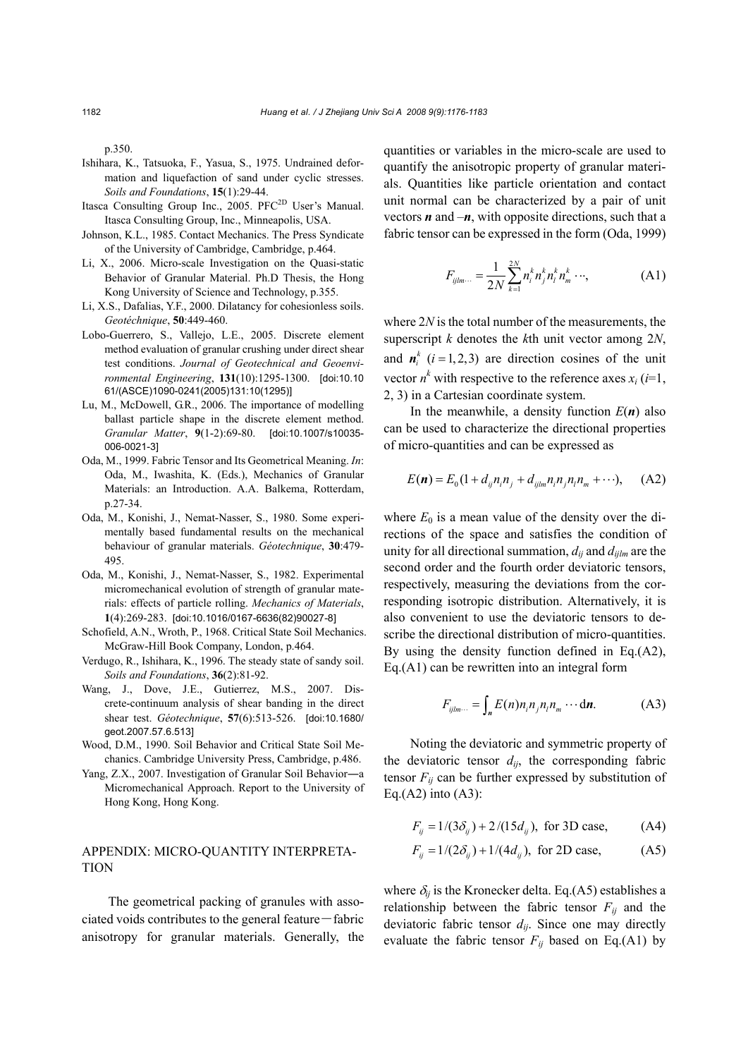p.350.

- Ishihara, K., Tatsuoka, F., Yasua, S., 1975. Undrained deformation and liquefaction of sand under cyclic stresses. *Soils and Foundations*, **15**(1):29-44.
- Itasca Consulting Group Inc., 2005. PFC<sup>2D</sup> User's Manual. Itasca Consulting Group, Inc., Minneapolis, USA.
- Johnson, K.L., 1985. Contact Mechanics. The Press Syndicate of the University of Cambridge, Cambridge, p.464.
- Li, X., 2006. Micro-scale Investigation on the Quasi-static Behavior of Granular Material. Ph.D Thesis, the Hong Kong University of Science and Technology, p.355.
- Li, X.S., Dafalias, Y.F., 2000. Dilatancy for cohesionless soils. *Geotéchnique*, **50**:449-460.
- Lobo-Guerrero, S., Vallejo, L.E., 2005. Discrete element method evaluation of granular crushing under direct shear test conditions. *Journal of Geotechnical and Geoenvironmental Engineering*, **131**(10):1295-1300. [doi:10.10 61/(ASCE)1090-0241(2005)131:10(1295)]
- Lu, M., McDowell, G.R., 2006. The importance of modelling ballast particle shape in the discrete element method. *Granular Matter*, **9**(1-2):69-80. [doi:10.1007/s10035- 006-0021-3]
- Oda, M., 1999. Fabric Tensor and Its Geometrical Meaning. *In*: Oda, M., Iwashita, K. (Eds.), Mechanics of Granular Materials: an Introduction. A.A. Balkema, Rotterdam, p.27-34.
- Oda, M., Konishi, J., Nemat-Nasser, S., 1980. Some experimentally based fundamental results on the mechanical behaviour of granular materials. *Géotechnique*, **30**:479- 495.
- Oda, M., Konishi, J., Nemat-Nasser, S., 1982. Experimental micromechanical evolution of strength of granular materials: effects of particle rolling. *Mechanics of Materials*, **1**(4):269-283. [doi:10.1016/0167-6636(82)90027-8]
- Schofield, A.N., Wroth, P., 1968. Critical State Soil Mechanics. McGraw-Hill Book Company, London, p.464.
- Verdugo, R., Ishihara, K., 1996. The steady state of sandy soil. *Soils and Foundations*, **36**(2):81-92.
- Wang, J., Dove, J.E., Gutierrez, M.S., 2007. Discrete-continuum analysis of shear banding in the direct shear test. *Géotechnique*, **57**(6):513-526. [doi:10.1680/ geot.2007.57.6.513]
- Wood, D.M., 1990. Soil Behavior and Critical State Soil Mechanics. Cambridge University Press, Cambridge, p.486.
- Yang, Z.X., 2007. Investigation of Granular Soil Behavior―a Micromechanical Approach. Report to the University of Hong Kong, Hong Kong.

# APPENDIX: MICRO-QUANTITY INTERPRETA-TION

The geometrical packing of granules with associated voids contributes to the general feature―fabric anisotropy for granular materials. Generally, the quantities or variables in the micro-scale are used to quantify the anisotropic property of granular materials. Quantities like particle orientation and contact unit normal can be characterized by a pair of unit vectors  $\boldsymbol{n}$  and  $-\boldsymbol{n}$ , with opposite directions, such that a fabric tensor can be expressed in the form (Oda, 1999)

$$
F_{ijlm...} = \frac{1}{2N} \sum_{k=1}^{2N} n_i^k n_j^k n_l^k n_m^k \cdots,
$$
 (A1)

where 2*N* is the total number of the measurements, the superscript *k* denotes the *k*th unit vector among 2*N*, and  $n_i^k$  ( $i = 1,2,3$ ) are direction cosines of the unit vector  $n^k$  with respective to the reference axes  $x_i$  (*i*=1, 2, 3) in a Cartesian coordinate system.

In the meanwhile, a density function  $E(n)$  also can be used to characterize the directional properties of micro-quantities and can be expressed as

$$
E(\mathbf{n}) = E_0(1 + d_{ij}n_i n_j + d_{ijlm}n_i n_j n_l n_m + \cdots), \quad \text{(A2)}
$$

where  $E_0$  is a mean value of the density over the directions of the space and satisfies the condition of unity for all directional summation, *dij* and *dijlm* are the second order and the fourth order deviatoric tensors, respectively, measuring the deviations from the corresponding isotropic distribution. Alternatively, it is also convenient to use the deviatoric tensors to describe the directional distribution of micro-quantities. By using the density function defined in Eq.(A2),  $Eq.(A1)$  can be rewritten into an integral form

$$
F_{ijlm\cdots} = \int_{n} E(n) n_{i} n_{j} n_{l} n_{m} \cdots \mathrm{d} n. \tag{A3}
$$

Noting the deviatoric and symmetric property of the deviatoric tensor  $d_{ij}$ , the corresponding fabric tensor  $F_{ij}$  can be further expressed by substitution of Eq. $(A2)$  into  $(A3)$ :

$$
F_{ij} = 1/(3\delta_{ij}) + 2/(15d_{ij})
$$
, for 3D case, (A4)

$$
F_{ij} = 1/(2\delta_{ij}) + 1/(4d_{ij})
$$
, for 2D case, (A5)

where  $\delta_{ij}$  is the Kronecker delta. Eq.(A5) establishes a relationship between the fabric tensor  $F_{ij}$  and the deviatoric fabric tensor  $d_{ij}$ . Since one may directly evaluate the fabric tensor  $F_{ij}$  based on Eq.(A1) by